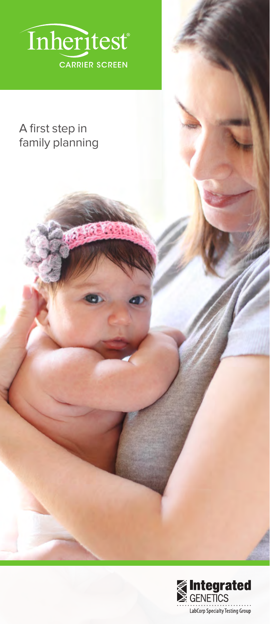

**RES** 

# A first step in family planning

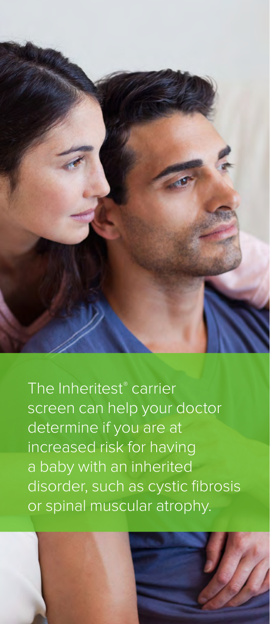

The Inheritest® carrier screen can help your doctor determine if you are at increased risk for having a baby with an inherited disorder, such as cystic fibrosis or spinal muscular atrophy.

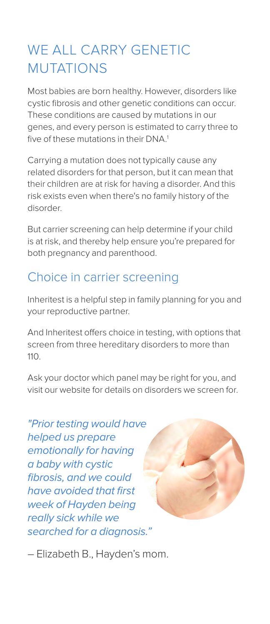# WE ALL CARRY GENETIC MUTATIONS

Most babies are born healthy. However, disorders like cystic fibrosis and other genetic conditions can occur. These conditions are caused by mutations in our genes, and every person is estimated to carry three to five of these mutations in their DNA.<sup>1</sup>

Carrying a mutation does not typically cause any related disorders for that person, but it can mean that their children are at risk for having a disorder. And this risk exists even when there's no family history of the disorder.

But carrier screening can help determine if your child is at risk, and thereby help ensure you're prepared for both pregnancy and parenthood.

# Choice in carrier screening

Inheritest is a helpful step in family planning for you and your reproductive partner.

And Inheritest offers choice in testing, with options that screen from three hereditary disorders to more than 110.

Ask your doctor which panel may be right for you, and visit our website for details on disorders we screen for.

"Prior testing would have helped us prepare emotionally for having a baby with cystic fibrosis, and we could have avoided that first week of Hayden being really sick while we searched for a diagnosis."



– Elizabeth B., Hayden's mom.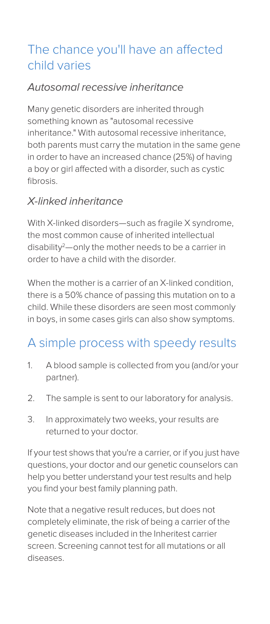# The chance you'll have an affected child varies

### Autosomal recessive inheritance

Many genetic disorders are inherited through something known as "autosomal recessive inheritance." With autosomal recessive inheritance, both parents must carry the mutation in the same gene in order to have an increased chance (25%) of having a boy or girl affected with a disorder, such as cystic fibrosis.

### X-linked inheritance

With X-linked disorders—such as fragile X syndrome, the most common cause of inherited intellectual disability<sup>2</sup>—only the mother needs to be a carrier in order to have a child with the disorder.

When the mother is a carrier of an X-linked condition, there is a 50% chance of passing this mutation on to a child. While these disorders are seen most commonly in boys, in some cases girls can also show symptoms.

# A simple process with speedy results

- 1. A blood sample is collected from you (and/or your partner).
- 2. The sample is sent to our laboratory for analysis.
- 3. In approximately two weeks, your results are returned to your doctor.

If your test shows that you're a carrier, or if you just have questions, your doctor and our genetic counselors can help you better understand your test results and help you find your best family planning path.

Note that a negative result reduces, but does not completely eliminate, the risk of being a carrier of the genetic diseases included in the Inheritest carrier screen. Screening cannot test for all mutations or all diseases.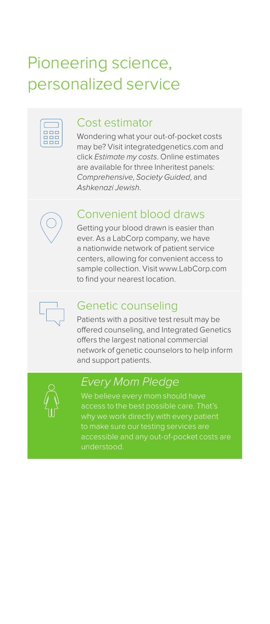# Pioneering science, personalized service

| П. |  |
|----|--|
| ш  |  |
|    |  |

#### Cost estimator

Wondering what your out-of-pocket costs may be? Visit integratedgenetics.com and click *Estimate my costs*. Online estimates are available for three Inheritest panels: *Comprehensive*, *Society Guided*, and *Ashkenazi Jewish*.



### Convenient blood draws

Getting your blood drawn is easier than ever. As a LabCorp company, we have a nationwide network of patient service centers, allowing for convenient access to sample collection. Visit www.LabCorp.com to find your nearest location.



### Genetic counseling

Patients with a positive test result may be offered counseling, and Integrated Genetics offers the largest national commercial network of genetic counselors to help inform and support patients.



# *Every Mom Pledge*

We believe every mom should have access to the best possible care. That's to make sure our testing services are accessible and any out-of-pocket costs are understood.